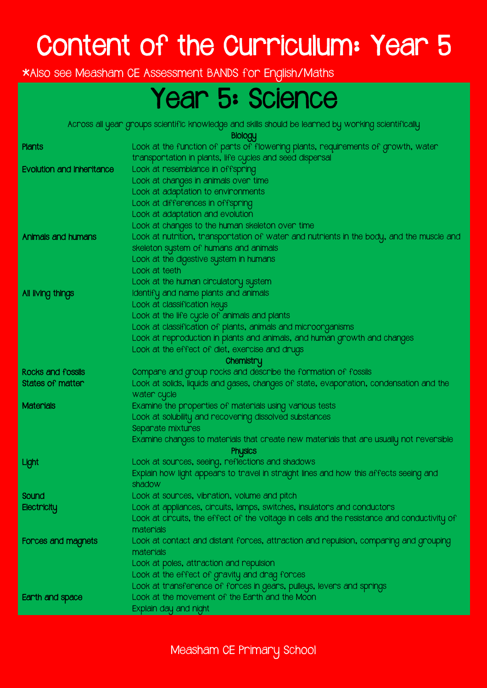## Content of the Curriculum: Year 5

\*Also see Measham CE Assessment BANDS for English/Maths

### Year 5: Science

Across all year groups scientific knowledge and skills should be learned by working scientifically

Biology

| <b>Plants</b>                    | שטיטים<br>Look at the function of parts of flowering plants, requirements of growth, water               |
|----------------------------------|----------------------------------------------------------------------------------------------------------|
|                                  | transportation in plants, life cycles and seed dispersal                                                 |
| <b>Evolution and inheritance</b> | Look at resemblance in offspring                                                                         |
|                                  | Look at changes in animals over time                                                                     |
|                                  | Look at adaptation to environments                                                                       |
|                                  | Look at differences in offspring                                                                         |
|                                  | Look at adaptation and evolution                                                                         |
|                                  | Look at changes to the human skeleton over time                                                          |
| Animals and humans               | Look at nutrition, transportation of water and nutrients in the body, and the muscle and                 |
|                                  | skeleton system of humans and animals                                                                    |
|                                  | Look at the digestive system in humans                                                                   |
|                                  | Look at teeth                                                                                            |
|                                  | Look at the human circulatory system                                                                     |
| All living things                | Identify and name plants and animals                                                                     |
|                                  | Look at classification keys                                                                              |
|                                  | Look at the life cycle of animals and plants                                                             |
|                                  | Look at classification of plants, animals and microorganisms                                             |
|                                  | Look at reproduction in plants and animals, and human growth and changes                                 |
|                                  | Look at the effect of diet, exercise and drugs                                                           |
|                                  | Chemistry                                                                                                |
| <b>Rocks and fossils</b>         | Compare and group rocks and describe the formation of fossils                                            |
| <b>States of matter</b>          | Look at solids, liquids and gases, changes of state, evaporation, condensation and the<br>water cycle    |
| <b>Materials</b>                 | Examine the properties of materials using various tests                                                  |
|                                  | Look at solubility and recovering dissolved substances                                                   |
|                                  | Separate mixtures                                                                                        |
|                                  | Examine changes to materials that create new materials that are usually not reversible<br><b>Physics</b> |
| Light                            | Look at sources, seeing, reflections and shadows                                                         |
|                                  | Explain how light appears to travel in straight lines and how this affects seeing and                    |
|                                  | shadow                                                                                                   |
| Sound                            | Look at sources, vibration, volume and pitch                                                             |
| Electricity                      | Look at appliances, circuits, lamps, switches, insulators and conductors                                 |
|                                  | Look at circuits, the effect of the voltage in cells and the resistance and conductivity of              |
|                                  | materials                                                                                                |
| Forces and magnets               | Look at contact and distant forces, attraction and repulsion, comparing and grouping<br>materials        |
|                                  | Look at poles, attraction and repulsion                                                                  |
|                                  | Look at the effect of gravity and drag forces                                                            |
|                                  | Look at transference of forces in gears, pulleys, levers and springs                                     |
| Earth and space                  | Look at the movement of the Earth and the Moon                                                           |
|                                  | Explain day and night                                                                                    |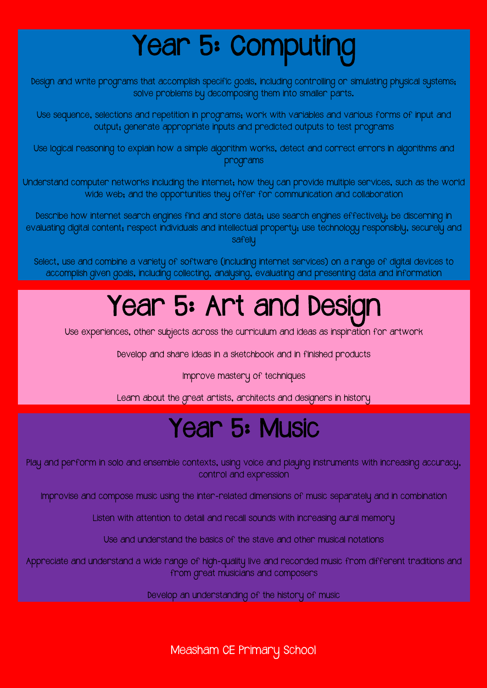# Year 5: Computing

Design and write programs that accomplish specific goals, including controlling or simulating physical systems; solve problems by decomposing them into smaller parts.

Use sequence, selections and repetition in programs; work with variables and various forms of input and output; generate appropriate inputs and predicted outputs to test programs

Use logical reasoning to explain how a simple algorithm works, detect and correct errors in algorithms and programs

Understand computer networks including the internet; how they can provide multiple services, such as the world wide web; and the opportunities they offer for communication and collaboration

Describe how internet search engines find and store data; use search engines effectively; be discerning in evaluating digital content; respect individuals and intellectual property; use technology responsibly, securely and safelu

Select, use and combine a variety of software (including internet services) on a range of digital devices to accomplish given goals, including collecting, analysing, evaluating and presenting data and information

### Year 5: Art and Design

Use experiences, other subjects across the curriculum and ideas as inspiration for artwork

Develop and share ideas in a sketchbook and in finished products

Improve mastery of techniques

Learn about the great artists, architects and designers in history

#### Year 5: Music

Play and perform in solo and ensemble contexts, using voice and playing instruments with increasing accuracy, control and expression

Improvise and compose music using the inter-related dimensions of music separately and in combination

Listen with attention to detail and recall sounds with increasing aural memory

Use and understand the basics of the stave and other musical notations

Appreciate and understand a wide range of high-quality live and recorded music from different traditions and from great musicians and composers

Develop an understanding of the history of music

Measham CE Primary School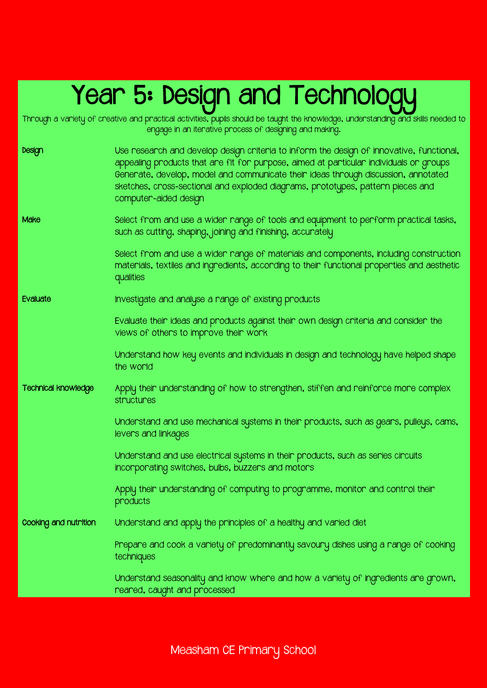### Year 5: Design and Technologu

Through a variety of creative and practical activities, pupils should be taught the knowledge, understanding and skills needed to

engage in an iterative process of designing and making. Design Use research and develop design criteria to inform the design of innovative, functional, appealing products that are fit for purpose, aimed at particular individuals or groups Generate, develop, model and communicate their ideas through discussion, annotated sketches, cross-sectional and exploded diagrams, prototypes, pattern pieces and computer-aided design Make Select from and use a wider range of tools and equipment to perform practical tasks, such as cutting, shaping, joining and finishing, accurately Select from and use a wider range of materials and components, including construction materials, textiles and ingredients, according to their functional properties and aesthetic qualities Evaluate Investigate and analyse a range of existing products Evaluate their ideas and products against their own design criteria and consider the views of others to improve their work Understand how key events and individuals in design and technology have helped shape the world Technical knowledge Apply their understanding of how to strengthen, stiffen and reinforce more complex structures Understand and use mechanical systems in their products, such as gears, pulleys, cams, levers and linkages Understand and use electrical systems in their products, such as series circuits incorporating switches, bulbs, buzzers and motors Apply their understanding of computing to programme, monitor and control their products Cooking and nutrition Understand and apply the principles of a healthy and varied diet Prepare and cook a variety of predominantly savoury dishes using a range of cooking techniques Understand seasonality and know where and how a variety of ingredients are grown, reared, caught and processed